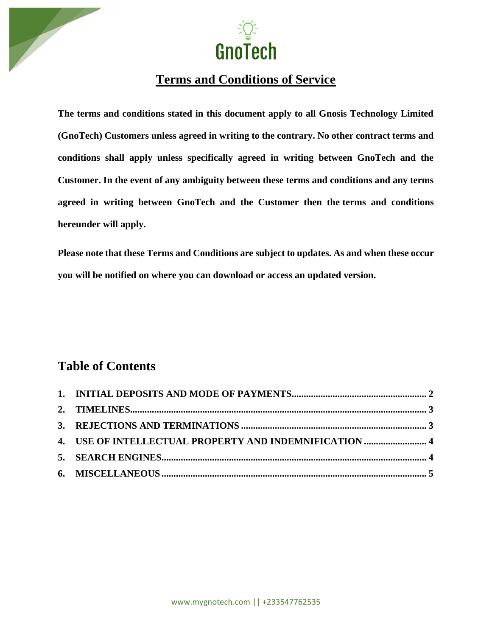



# **Terms and Conditions of Service**

**The terms and conditions stated in this document apply to all Gnosis Technology Limited (GnoTech) Customers unless agreed in writing to the contrary. No other contract terms and conditions shall apply unless specifically agreed in writing between GnoTech and the Customer. In the event of any ambiguity between these terms and conditions and any terms agreed in writing between GnoTech and the Customer then the terms and conditions hereunder will apply.**

**Please note that these Terms and Conditions are subject to updates. As and when these occur you will be notified on where you can download or access an updated version.**

## **Table of Contents**

| 4. USE OF INTELLECTUAL PROPERTY AND INDEMNIFICATION  4 |  |
|--------------------------------------------------------|--|
|                                                        |  |
|                                                        |  |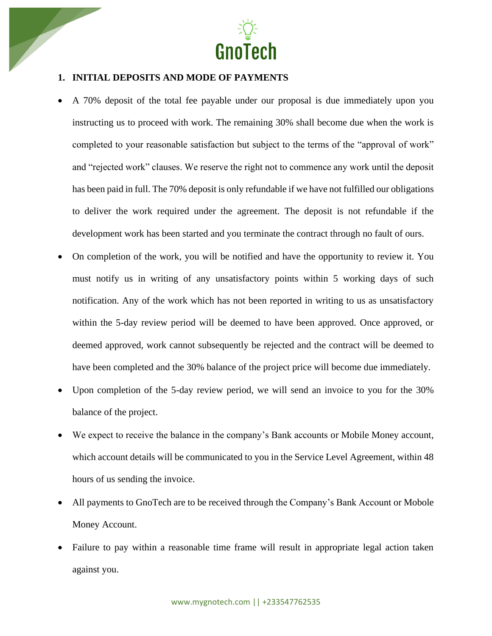

## **1. INITIAL DEPOSITS AND MODE OF PAYMENTS**

- A 70% deposit of the total fee payable under our proposal is due immediately upon you instructing us to proceed with work. The remaining 30% shall become due when the work is completed to your reasonable satisfaction but subject to the terms of the "approval of work" and "rejected work" clauses. We reserve the right not to commence any work until the deposit has been paid in full. The 70% deposit is only refundable if we have not fulfilled our obligations to deliver the work required under the agreement. The deposit is not refundable if the development work has been started and you terminate the contract through no fault of ours.
- On completion of the work, you will be notified and have the opportunity to review it. You must notify us in writing of any unsatisfactory points within 5 working days of such notification. Any of the work which has not been reported in writing to us as unsatisfactory within the 5-day review period will be deemed to have been approved. Once approved, or deemed approved, work cannot subsequently be rejected and the contract will be deemed to have been completed and the 30% balance of the project price will become due immediately.
- Upon completion of the 5-day review period, we will send an invoice to you for the 30% balance of the project.
- We expect to receive the balance in the company's Bank accounts or Mobile Money account, which account details will be communicated to you in the Service Level Agreement, within 48 hours of us sending the invoice.
- All payments to GnoTech are to be received through the Company's Bank Account or Mobole Money Account.
- Failure to pay within a reasonable time frame will result in appropriate legal action taken against you.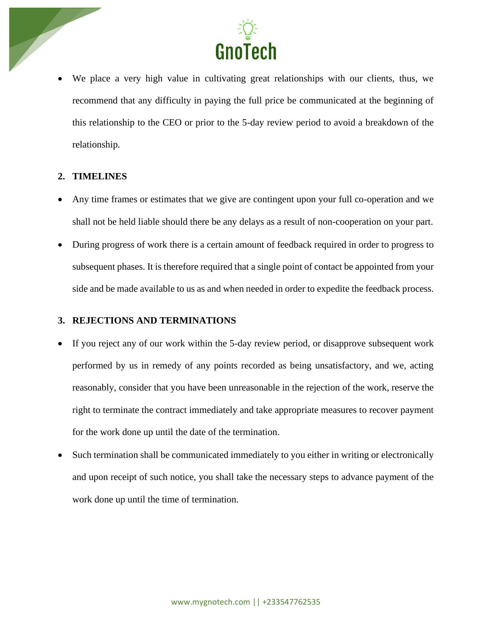

We place a very high value in cultivating great relationships with our clients, thus, we recommend that any difficulty in paying the full price be communicated at the beginning of this relationship to the CEO or prior to the 5-day review period to avoid a breakdown of the relationship.

#### **2. TIMELINES**

- Any time frames or estimates that we give are contingent upon your full co-operation and we shall not be held liable should there be any delays as a result of non-cooperation on your part.
- During progress of work there is a certain amount of feedback required in order to progress to subsequent phases. It is therefore required that a single point of contact be appointed from your side and be made available to us as and when needed in order to expedite the feedback process.

#### **3. REJECTIONS AND TERMINATIONS**

- If you reject any of our work within the 5-day review period, or disapprove subsequent work performed by us in remedy of any points recorded as being unsatisfactory, and we, acting reasonably, consider that you have been unreasonable in the rejection of the work, reserve the right to terminate the contract immediately and take appropriate measures to recover payment for the work done up until the date of the termination.
- Such termination shall be communicated immediately to you either in writing or electronically and upon receipt of such notice, you shall take the necessary steps to advance payment of the work done up until the time of termination.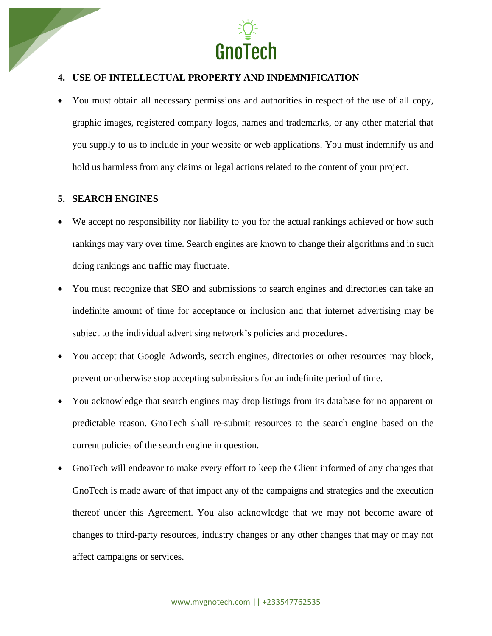

## **4. USE OF INTELLECTUAL PROPERTY AND INDEMNIFICATION**

• You must obtain all necessary permissions and authorities in respect of the use of all copy, graphic images, registered company logos, names and trademarks, or any other material that you supply to us to include in your website or web applications. You must indemnify us and hold us harmless from any claims or legal actions related to the content of your project.

#### **5. SEARCH ENGINES**

- We accept no responsibility nor liability to you for the actual rankings achieved or how such rankings may vary over time. Search engines are known to change their algorithms and in such doing rankings and traffic may fluctuate.
- You must recognize that SEO and submissions to search engines and directories can take an indefinite amount of time for acceptance or inclusion and that internet advertising may be subject to the individual advertising network's policies and procedures.
- You accept that Google Adwords, search engines, directories or other resources may block, prevent or otherwise stop accepting submissions for an indefinite period of time.
- You acknowledge that search engines may drop listings from its database for no apparent or predictable reason. GnoTech shall re-submit resources to the search engine based on the current policies of the search engine in question.
- GnoTech will endeavor to make every effort to keep the Client informed of any changes that GnoTech is made aware of that impact any of the campaigns and strategies and the execution thereof under this Agreement. You also acknowledge that we may not become aware of changes to third-party resources, industry changes or any other changes that may or may not affect campaigns or services.